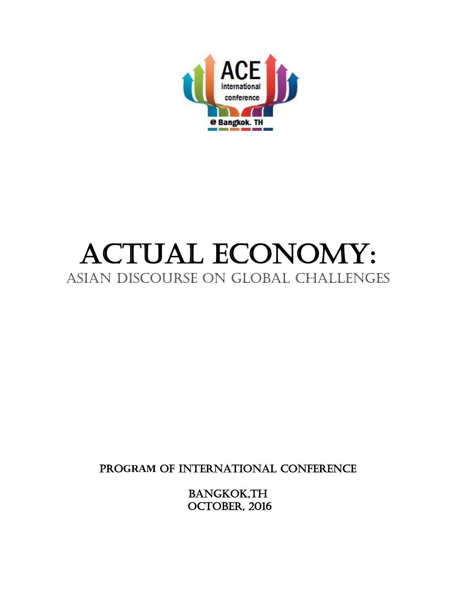

# ACTUAL ECONOMY: ASIAN DISCOURSE ON GLOBAL CHALLENGES

PRO**GRAM** OF INTERNATIONAL CONFERENCE

BANGKOK,TH OCTOBER, 2016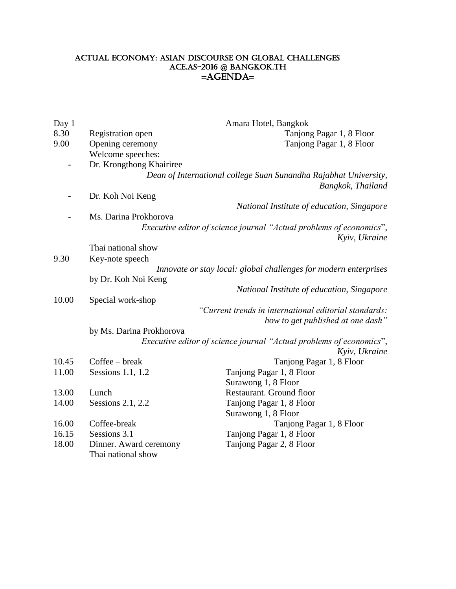#### Actual Economy: asian discourse on Global Challenges ACE.as-2016 @ Bangkok.th  $=$ AGENDA $=$

| Day 1 | Amara Hotel, Bangkok                                             |                                                                                             |  |
|-------|------------------------------------------------------------------|---------------------------------------------------------------------------------------------|--|
| 8.30  | Registration open                                                | Tanjong Pagar 1, 8 Floor                                                                    |  |
| 9.00  | Opening ceremony                                                 | Tanjong Pagar 1, 8 Floor                                                                    |  |
|       | Welcome speeches:                                                |                                                                                             |  |
|       | Dr. Krongthong Khairiree                                         |                                                                                             |  |
|       |                                                                  | Dean of International college Suan Sunandha Rajabhat University,<br>Bangkok, Thailand       |  |
|       | Dr. Koh Noi Keng                                                 |                                                                                             |  |
|       |                                                                  | National Institute of education, Singapore                                                  |  |
|       | Ms. Darina Prokhorova                                            |                                                                                             |  |
|       |                                                                  | <i>Executive editor of science journal "Actual problems of economics",</i><br>Kyiv, Ukraine |  |
|       | Thai national show                                               |                                                                                             |  |
| 9.30  | Key-note speech                                                  |                                                                                             |  |
|       | Innovate or stay local: global challenges for modern enterprises |                                                                                             |  |
|       | by Dr. Koh Noi Keng                                              |                                                                                             |  |
|       |                                                                  | National Institute of education, Singapore                                                  |  |
| 10.00 | Special work-shop                                                |                                                                                             |  |
|       | "Current trends in international editorial standards:            |                                                                                             |  |
|       |                                                                  | how to get published at one dash"                                                           |  |
|       | by Ms. Darina Prokhorova                                         |                                                                                             |  |
|       |                                                                  | Executive editor of science journal "Actual problems of economics",<br>Kyiv, Ukraine        |  |
| 10.45 | $Coffee - break$                                                 | Tanjong Pagar 1, 8 Floor                                                                    |  |
| 11.00 | Sessions 1.1, 1.2                                                | Tanjong Pagar 1, 8 Floor                                                                    |  |
|       |                                                                  | Surawong 1, 8 Floor                                                                         |  |
| 13.00 | Lunch                                                            | Restaurant. Ground floor                                                                    |  |
| 14.00 | Sessions 2.1, 2.2                                                | Tanjong Pagar 1, 8 Floor                                                                    |  |
|       |                                                                  | Surawong 1, 8 Floor                                                                         |  |
| 16.00 | Coffee-break                                                     | Tanjong Pagar 1, 8 Floor                                                                    |  |
| 16.15 | Sessions 3.1                                                     | Tanjong Pagar 1, 8 Floor                                                                    |  |
| 18.00 | Dinner. Award ceremony<br>Thai national show                     | Tanjong Pagar 2, 8 Floor                                                                    |  |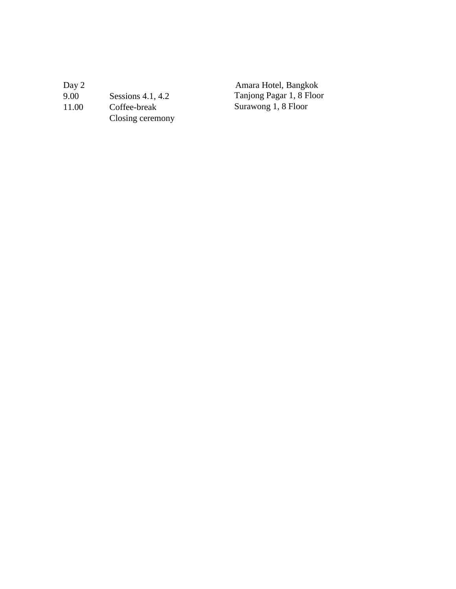| Day 2 |                     | Amara Hotel, Bangkok     |
|-------|---------------------|--------------------------|
| 9.00  | Sessions $4.1, 4.2$ | Tanjong Pagar 1, 8 Floor |
| 11.00 | Coffee-break        | Surawong 1, 8 Floor      |
|       | Closing ceremony    |                          |
|       |                     |                          |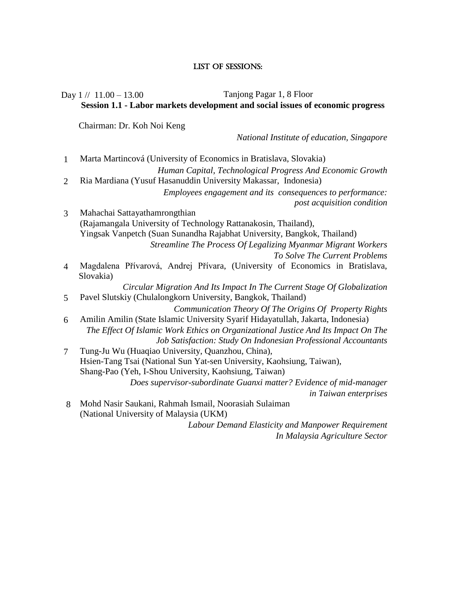#### List of SESSIONS:

# Day 1 // 11.00 – 13.00 Tanjong Pagar 1, 8 Floor **Session 1.1 - Labor markets development and social issues of economic progress**

Chairman: Dr. Koh Noi Keng

*National Institute of education, Singapore*

1 Marta Martincová (University of Economics in Bratislava, Slovakia)

*Human Capital, Technological Progress And Economic Growth* 2 Ria Mardiana (Yusuf Hasanuddin University Makassar, Indonesia)

- *Employees engagement and its consequences to performance: post acquisition condition*
- 3 Mahachai Sattayathamrongthian (Rajamangala University of Technology Rattanakosin, Thailand), Yingsak Vanpetch (Suan Sunandha Rajabhat University, Bangkok, Thailand) *Streamline The Process Of Legalizing Myanmar Migrant Workers* 
	- *To Solve The Current Problems*
- 4 Magdalena Přívarová, Andrej Přívara, (University of Economics in Bratislava, Slovakia)

*Circular Migration And Its Impact In The Current Stage Of Globalization* 5 Pavel Slutskiy (Chulalongkorn University, Bangkok, Thailand)

*Communication Theory Of The Origins Of Property Rights*

- 6 Amilin Amilin (State Islamic University Syarif Hidayatullah, Jakarta, Indonesia) *The Effect Of Islamic Work Ethics on Organizational Justice And Its Impact On The Job Satisfaction: Study On Indonesian Professional Accountants*
- 7 Tung-Ju Wu (Huaqiao University, Quanzhou, China), Hsien-Tang Tsai (National Sun Yat-sen University, Kaohsiung, Taiwan), Shang-Pao (Yeh, I-Shou University, Kaohsiung, Taiwan) *Does supervisor-subordinate Guanxi matter? Evidence of mid-manager*

*in Taiwan enterprises*

8 Mohd Nasir Saukani, Rahmah Ismail, Noorasiah Sulaiman (National University of Malaysia (UKM)

> *Labour Demand Elasticity and Manpower Requirement In Malaysia Agriculture Sector*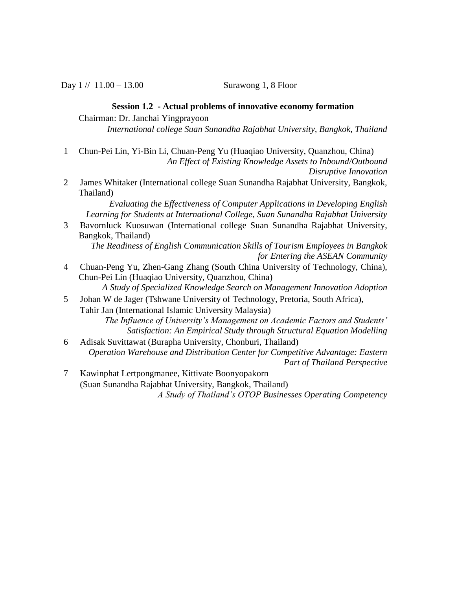Day  $1 // 11.00 - 13.00$  Surawong 1, 8 Floor

#### **Session 1.2 - Actual problems of innovative economy formation**

Chairman: Dr. Janchai Yingprayoon

*International college Suan Sunandha Rajabhat University, Bangkok, Thailand*

1 Chun-Pei Lin, Yi-Bin Li, Chuan-Peng Yu (Huaqiao University, Quanzhou, China) *An Effect of Existing Knowledge Assets to Inbound/Outbound* 

*Disruptive Innovation*

2 James Whitaker (International college Suan Sunandha Rajabhat University, Bangkok, Thailand)

*Evaluating the Effectiveness of Computer Applications in Developing English Learning for Students at International College, Suan Sunandha Rajabhat University*

- 3 Bavornluck Kuosuwan (International college Suan Sunandha Rajabhat University, Bangkok, Thailand)
	- *The Readiness of English Communication Skills of Tourism Employees in Bangkok for Entering the ASEAN Community*
- 4 Chuan-Peng Yu, Zhen-Gang Zhang (South China University of Technology, China), Chun-Pei Lin (Huaqiao University, Quanzhou, China)

*A Study of Specialized Knowledge Search on Management Innovation Adoption*

5 Johan W de Jager (Tshwane University of Technology, Pretoria, South Africa), Tahir Jan (International Islamic University Malaysia)

*The Influence of University's Management on Academic Factors and Students' Satisfaction: An Empirical Study through Structural Equation Modelling*

- 6 Adisak Suvittawat (Burapha University, Chonburi, Thailand) *Operation Warehouse and Distribution Center for Competitive Advantage: Eastern Part of Thailand Perspective*
- 7 Kawinphat Lertpongmanee, Kittivate Boonyopakorn (Suan Sunandha Rajabhat University, Bangkok, Thailand) *A Study of Thailand's OTOP Businesses Operating Competency*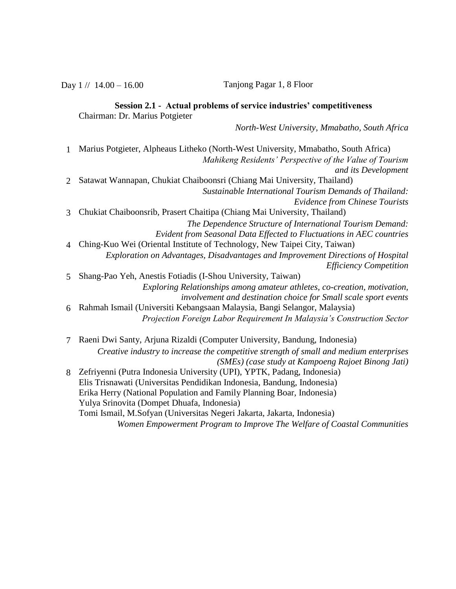Day 1 // 14.00 – 16.00 Tanjong Pagar 1, 8 Floor

#### **Session 2.1 - Actual problems of service industries' competitiveness** Chairman: Dr. Marius Potgieter

*North-West University, Mmabatho, South Africa* 

- 1 Marius Potgieter, Alpheaus Litheko (North-West University, Mmabatho, South Africa) *Mahikeng Residents' Perspective of the Value of Tourism and its Development* 2 Satawat Wannapan, Chukiat Chaiboonsri (Chiang Mai University, Thailand) *Sustainable International Tourism Demands of Thailand: Evidence from Chinese Tourists* 3 Chukiat Chaiboonsrib, Prasert Chaitipa (Chiang Mai University, Thailand) *The Dependence Structure of International Tourism Demand: Evident from Seasonal Data Effected to Fluctuations in AEC countries*  4 Ching-Kuo Wei (Oriental Institute of Technology, New Taipei City, Taiwan) *Exploration on Advantages, Disadvantages and Improvement Directions of Hospital Efficiency Competition* 5 Shang-Pao Yeh, Anestis Fotiadis (I-Shou University, Taiwan) *Exploring Relationships among amateur athletes, co-creation, motivation,*
- *involvement and destination choice for Small scale sport events* 6 Rahmah Ismail (Universiti Kebangsaan Malaysia, Bangi Selangor, Malaysia) *Projection Foreign Labor Requirement In Malaysia's Construction Sector*
- 7 Raeni Dwi Santy, Arjuna Rizaldi (Computer University, Bandung, Indonesia) *Creative industry to increase the competitive strength of small and medium enterprises (SMEs) (case study at Kampoeng Rajoet Binong Jati)* 8 Zefriyenni (Putra Indonesia University (UPI), YPTK, Padang, Indonesia) Elis Trisnawati (Universitas Pendidikan Indonesia, Bandung, Indonesia) Erika Herry (National Population and Family Planning Boar, Indonesia) Yulya Srinovita (Dompet Dhuafa, Indonesia)

Tomi Ismail, M.Sofyan (Universitas Negeri Jakarta, Jakarta, Indonesia) *Women Empowerment Program to Improve The Welfare of Coastal Communities*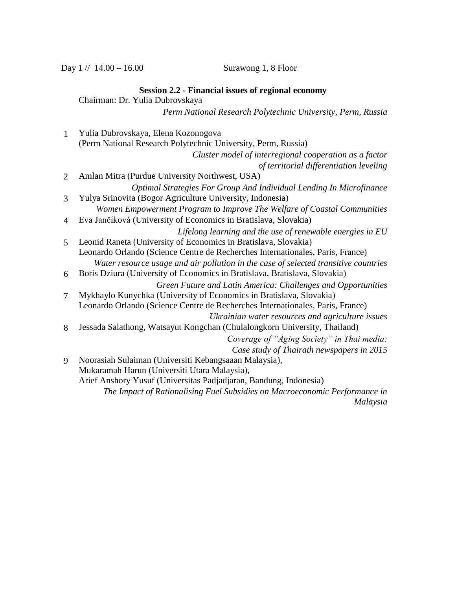Day  $1 / / 14.00 - 16.00$  Surawong 1, 8 Floor

#### **Session 2.2 - Financial issues of regional economy**

Chairman: Dr. Yulia Dubrovskaya

*Perm National Research Polytechnic University, Perm, Russia*

1 Yulia Dubrovskaya, Elena Kozonogova (Perm National Research Polytechnic University, Perm, Russia) *Cluster model of interregional cooperation as a factor of territorial differentiation leveling* 2 Amlan Mitra (Purdue University Northwest, USA) *Optimal Strategies For Group And Individual Lending In Microfinance* 3 Yulya Srinovita (Bogor Agriculture University, Indonesia) *Women Empowerment Program to Improve The Welfare of Coastal Communities* 4 Eva Jančíková (University of Economics in Bratislava, Slovakia) *Lifelong learning and the use of renewable energies in EU* 5 Leonid Raneta (University of Economics in Bratislava, Slovakia) Leonardo Orlando (Science Centre de Recherches Internationales, Paris, France) *Water resource usage and air pollution in the case of selected transitive countries* 6 Boris Dziura (University of Economics in Bratislava, Bratislava, Slovakia) *Green Future and Latin America: Challenges and Opportunities* 7 Mykhaylo Kunychka (University of Economics in Bratislava, Slovakia) Leonardo Orlando (Science Centre de Recherches Internationales, Paris, France) *Ukrainian water resources and agriculture issues* 8 Jessada Salathong, Watsayut Kongchan (Chulalongkorn University, Thailand) *Coverage of "Aging Society" in Thai media: Case study of Thairath newspapers in 2015* 9 Noorasiah Sulaiman (Universiti Kebangsaaan Malaysia), Mukaramah Harun (Universiti Utara Malaysia), Arief Anshory Yusuf (Universitas Padjadjaran, Bandung, Indonesia) *The Impact of Rationalising Fuel Subsidies on Macroeconomic Performance in Malaysia*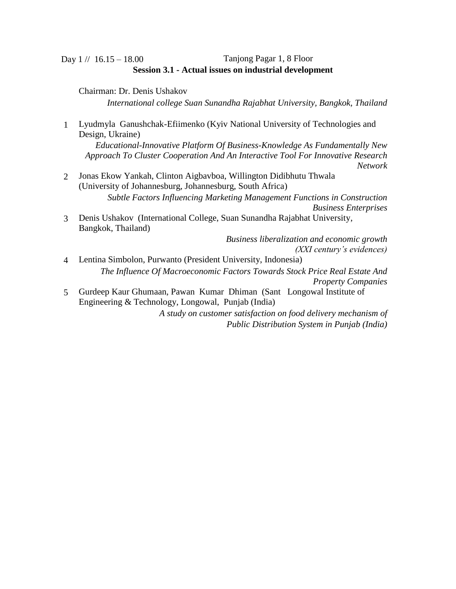## Day 1 // 16.15 – 18.00 Tanjong Pagar 1, 8 Floor **Session 3.1 - Actual issues on industrial development**

Chairman: Dr. Denis Ushakov

*International college Suan Sunandha Rajabhat University, Bangkok, Thailand*

1 Lyudmyla Ganushchak-Efiimenko (Kyiv National University of Technologies and Design, Ukraine)

*Educational-Innovative Platform Of Business-Knowledge As Fundamentally New Approach To Cluster Cooperation And An Interactive Tool For Innovative Research Network*

- 2 Jonas Ekow Yankah, Clinton Aigbavboa, Willington Didibhutu Thwala (University of Johannesburg, Johannesburg, South Africa) *Subtle Factors Influencing Marketing Management Functions in Construction Business Enterprises*
- 3 Denis Ushakov (International College, Suan Sunandha Rajabhat University, Bangkok, Thailand)

*Business liberalization and economic growth (XXI century's evidences)*

- 4 Lentina Simbolon, Purwanto (President University, Indonesia) *The Influence Of Macroeconomic Factors Towards Stock Price Real Estate And Property Companies*
- 5 Gurdeep Kaur Ghumaan, Pawan Kumar Dhiman (Sant Longowal Institute of Engineering & Technology, Longowal, Punjab (India)

*A study on customer satisfaction on food delivery mechanism of Public Distribution System in Punjab (India)*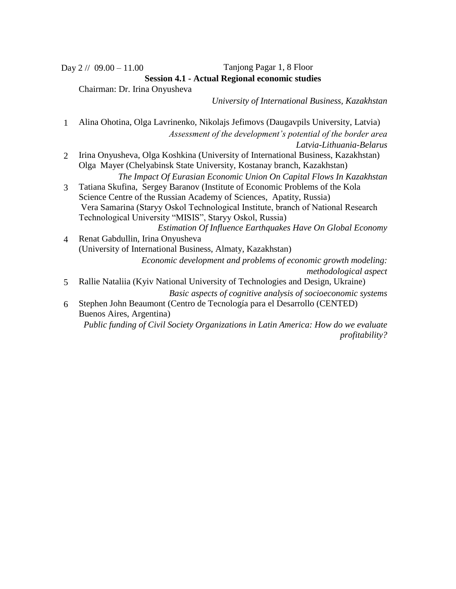## Day 2 // 09.00 – 11.00 Tanjong Pagar 1, 8 Floor **Session 4.1 - Actual Regional economic studies**

Chairman: Dr. Irina Onyusheva

*University of International Business, Kazakhstan*

1 Alina Ohotina, Olga Lavrinenko, Nikolajs Jefimovs (Daugavpils University, Latvia) *Assessment of the development's potential of the border area Latvia-Lithuania-Belarus* 2 Irina Onyusheva, Olga Koshkina (University of International Business, Kazakhstan) Olga Mayer (Chelyabinsk State University, Kostanay branch, Kazakhstan) *The Impact Of Eurasian Economic Union On Capital Flows In Kazakhstan* 3 Tatiana Skufina, Sergey Baranov (Institute of Economic Problems of the Kola Science Centre of the Russian Academy of Sciences, Apatity, Russia) Vera Samarina (Starуy Oskol Technological Institute, branch of National Research Technological University "MISIS", Starуy Oskol, Russia) *Estimation Of Influence Earthquakes Have On Global Economy* 4 Renat Gabdullin, Irina Onyusheva (University of International Business, Almaty, Kazakhstan) *Economic development and problems of economic growth modeling: methodological aspect* 5 Rallie Nataliia (Kyiv National University of Technologies and Design, Ukraine) *Basic aspects of cognitive analysis of socioeconomic systems* 6 Stephen John Beaumont (Centro de Tecnología para el Desarrollo (CENTED) Buenos Aires, Argentina)

*Public funding of Civil Society Organizations in Latin America: How do we evaluate profitability?*